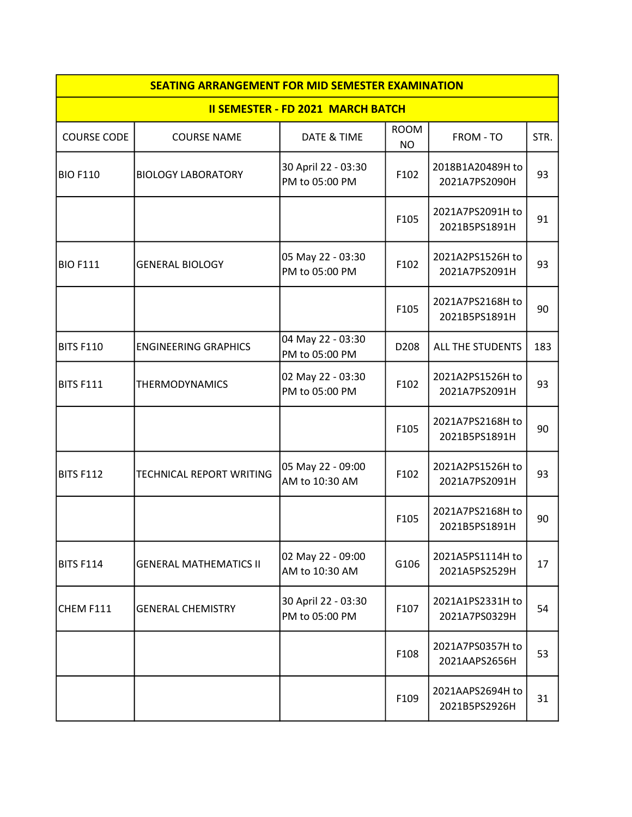| <b>SEATING ARRANGEMENT FOR MID SEMESTER EXAMINATION</b> |                               |                                       |                          |                                   |      |  |  |  |  |
|---------------------------------------------------------|-------------------------------|---------------------------------------|--------------------------|-----------------------------------|------|--|--|--|--|
| <b>II SEMESTER - FD 2021 MARCH BATCH</b>                |                               |                                       |                          |                                   |      |  |  |  |  |
| <b>COURSE CODE</b>                                      | <b>COURSE NAME</b>            | DATE & TIME                           | <b>ROOM</b><br><b>NO</b> | FROM - TO                         | STR. |  |  |  |  |
| <b>BIO F110</b>                                         | <b>BIOLOGY LABORATORY</b>     | 30 April 22 - 03:30<br>PM to 05:00 PM | F102                     | 2018B1A20489H to<br>2021A7PS2090H | 93   |  |  |  |  |
|                                                         |                               |                                       | F105                     | 2021A7PS2091H to<br>2021B5PS1891H | 91   |  |  |  |  |
| <b>BIO F111</b>                                         | <b>GENERAL BIOLOGY</b>        | 05 May 22 - 03:30<br>PM to 05:00 PM   | F102                     | 2021A2PS1526H to<br>2021A7PS2091H | 93   |  |  |  |  |
|                                                         |                               |                                       | F105                     | 2021A7PS2168H to<br>2021B5PS1891H | 90   |  |  |  |  |
| BITS F110                                               | <b>ENGINEERING GRAPHICS</b>   | 04 May 22 - 03:30<br>PM to 05:00 PM   | D208                     | <b>ALL THE STUDENTS</b>           | 183  |  |  |  |  |
| BITS F111                                               | <b>THERMODYNAMICS</b>         | 02 May 22 - 03:30<br>PM to 05:00 PM   | F102                     | 2021A2PS1526H to<br>2021A7PS2091H | 93   |  |  |  |  |
|                                                         |                               |                                       | F105                     | 2021A7PS2168H to<br>2021B5PS1891H | 90   |  |  |  |  |
| BITS F112                                               | TECHNICAL REPORT WRITING      | 05 May 22 - 09:00<br>AM to 10:30 AM   | F102                     | 2021A2PS1526H to<br>2021A7PS2091H | 93   |  |  |  |  |
|                                                         |                               |                                       | F105                     | 2021A7PS2168H to<br>2021B5PS1891H | 90   |  |  |  |  |
| BITS F114                                               | <b>GENERAL MATHEMATICS II</b> | 02 May 22 - 09:00<br>AM to 10:30 AM   | G106                     | 2021A5PS1114H to<br>2021A5PS2529H | 17   |  |  |  |  |
| CHEM F111                                               | <b>GENERAL CHEMISTRY</b>      | 30 April 22 - 03:30<br>PM to 05:00 PM | F107                     | 2021A1PS2331H to<br>2021A7PS0329H | 54   |  |  |  |  |
|                                                         |                               |                                       | F108                     | 2021A7PS0357H to<br>2021AAPS2656H | 53   |  |  |  |  |
|                                                         |                               |                                       | F109                     | 2021AAPS2694H to<br>2021B5PS2926H | 31   |  |  |  |  |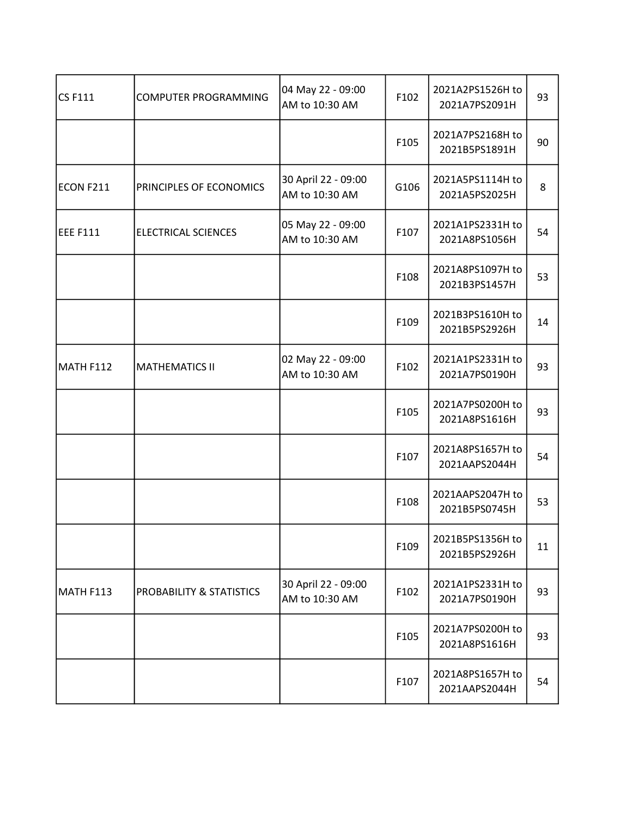| $CS$ F111       | COMPUTER PROGRAMMING       | 04 May 22 - 09:00<br>AM to 10:30 AM   | F102 | 2021A2PS1526H to<br>2021A7PS2091H | 93 |
|-----------------|----------------------------|---------------------------------------|------|-----------------------------------|----|
|                 |                            |                                       | F105 | 2021A7PS2168H to<br>2021B5PS1891H | 90 |
| ECON F211       | PRINCIPLES OF ECONOMICS    | 30 April 22 - 09:00<br>AM to 10:30 AM | G106 | 2021A5PS1114H to<br>2021A5PS2025H | 8  |
| <b>EEE F111</b> | <b>ELECTRICAL SCIENCES</b> | 05 May 22 - 09:00<br>AM to 10:30 AM   | F107 | 2021A1PS2331H to<br>2021A8PS1056H | 54 |
|                 |                            |                                       | F108 | 2021A8PS1097H to<br>2021B3PS1457H | 53 |
|                 |                            |                                       | F109 | 2021B3PS1610H to<br>2021B5PS2926H | 14 |
| MATH F112       | <b>MATHEMATICS II</b>      | 02 May 22 - 09:00<br>AM to 10:30 AM   | F102 | 2021A1PS2331H to<br>2021A7PS0190H | 93 |
|                 |                            |                                       | F105 | 2021A7PS0200H to<br>2021A8PS1616H | 93 |
|                 |                            |                                       | F107 | 2021A8PS1657H to<br>2021AAPS2044H | 54 |
|                 |                            |                                       | F108 | 2021AAPS2047H to<br>2021B5PS0745H | 53 |
|                 |                            |                                       | F109 | 2021B5PS1356H to<br>2021B5PS2926H | 11 |
| MATH F113       | PROBABILITY & STATISTICS   | 30 April 22 - 09:00<br>AM to 10:30 AM | F102 | 2021A1PS2331H to<br>2021A7PS0190H | 93 |
|                 |                            |                                       | F105 | 2021A7PS0200H to<br>2021A8PS1616H | 93 |
|                 |                            |                                       | F107 | 2021A8PS1657H to<br>2021AAPS2044H | 54 |